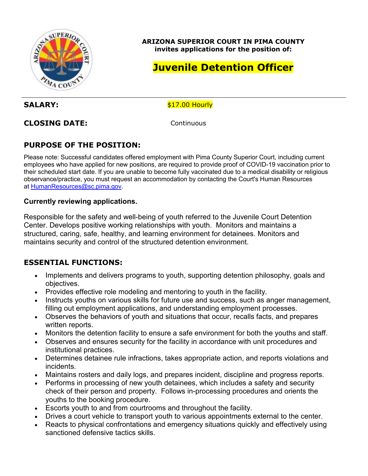

**ARIZONA SUPERIOR COURT IN PIMA COUNTY invites applications for the position of:**

# **Juvenile Detention Officer**

SALARY:  $$17.00$  Hourly

**CLOSING DATE:** Continuous

# **PURPOSE OF THE POSITION:**

Please note: Successful candidates offered employment with Pima County Superior Court, including current employees who have applied for new positions, are required to provide proof of COVID-19 vaccination prior to their scheduled start date. If you are unable to become fully vaccinated due to a medical disability or religious observance/practice, you must request an accommodation by contacting the Court's Human Resources at [HumanResources@sc.pima.gov.](mailto:HumanResources@sc.pima.gov)

#### **Currently reviewing applications.**

Responsible for the safety and well-being of youth referred to the Juvenile Court Detention Center. Develops positive working relationships with youth. Monitors and maintains a structured, caring, safe, healthy, and learning environment for detainees. Monitors and maintains security and control of the structured detention environment.

### **ESSENTIAL FUNCTIONS:**

- Implements and delivers programs to youth, supporting detention philosophy, goals and objectives.
- Provides effective role modeling and mentoring to youth in the facility.
- Instructs youths on various skills for future use and success, such as anger management, filling out employment applications, and understanding employment processes.
- Observes the behaviors of youth and situations that occur, recalls facts, and prepares written reports.
- Monitors the detention facility to ensure a safe environment for both the youths and staff.
- Observes and ensures security for the facility in accordance with unit procedures and institutional practices.
- Determines detainee rule infractions, takes appropriate action, and reports violations and incidents.
- Maintains rosters and daily logs, and prepares incident, discipline and progress reports.
- Performs in processing of new youth detainees, which includes a safety and security check of their person and property. Follows in-processing procedures and orients the youths to the booking procedure.
- Escorts youth to and from courtrooms and throughout the facility.
- Drives a court vehicle to transport youth to various appointments external to the center.
- Reacts to physical confrontations and emergency situations quickly and effectively using sanctioned defensive tactics skills.